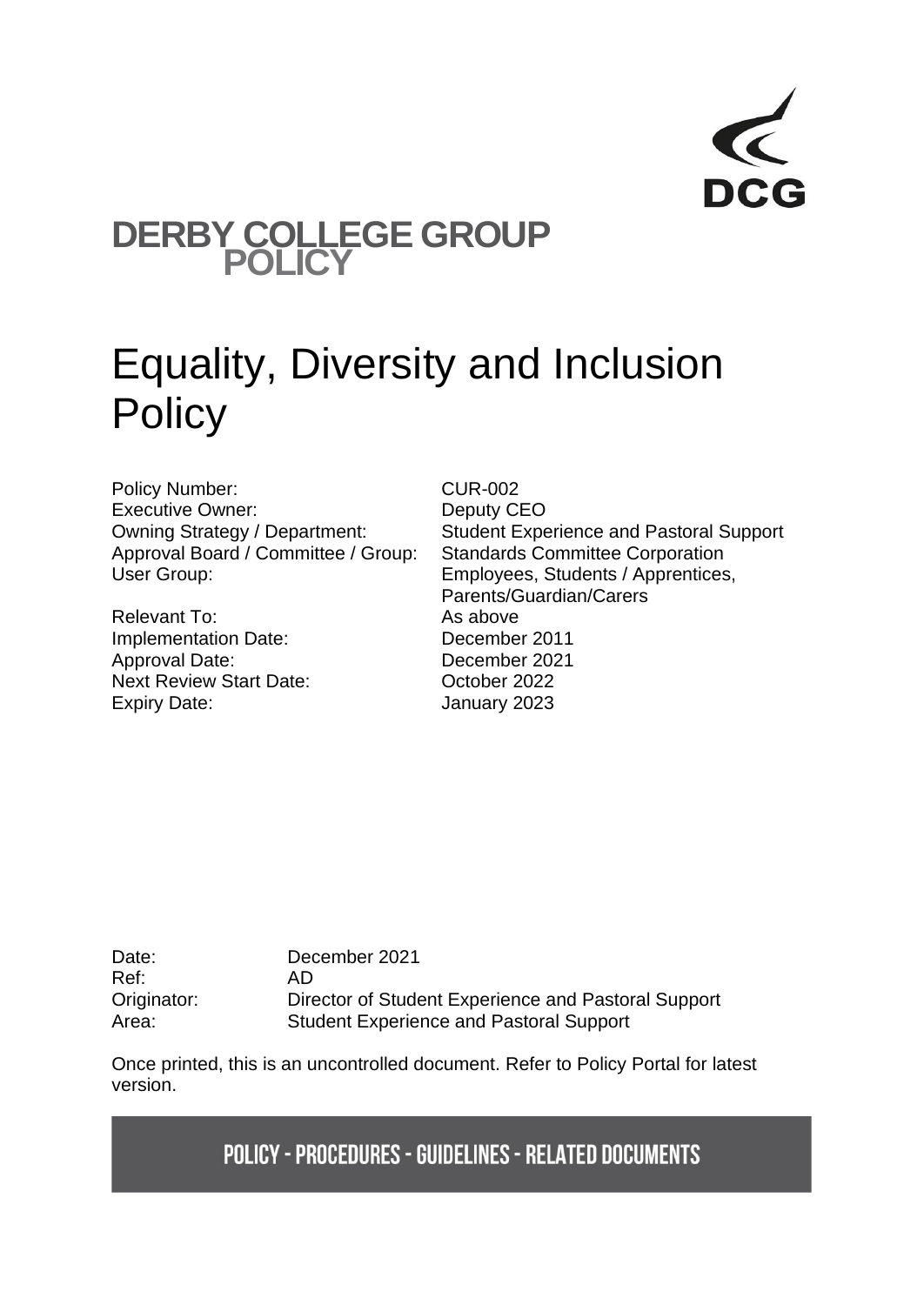

## **DERBY COLLEGE GROUP POLICY**

# Equality, Diversity and Inclusion **Policy**

Policy Number: CUR-002 Executive Owner: Deputy CEO Approval Board / Committee / Group: Standards Committee Corporation User Group: Employees, Students / Apprentices,

Relevant To: As above Implementation Date: December 2011 Approval Date: December 2021 Next Review Start Date: 0ctober 2022 Expiry Date: January 2023

Owning Strategy / Department: Student Experience and Pastoral Support Parents/Guardian/Carers

Date: December 2021 Ref: AD Originator: Director of Student Experience and Pastoral Support Area: Student Experience and Pastoral Support

Once printed, this is an uncontrolled document. Refer to Policy Portal for latest version.

**POLICY - PROCEDURES - GUIDELINES - RELATED DOCUMENTS**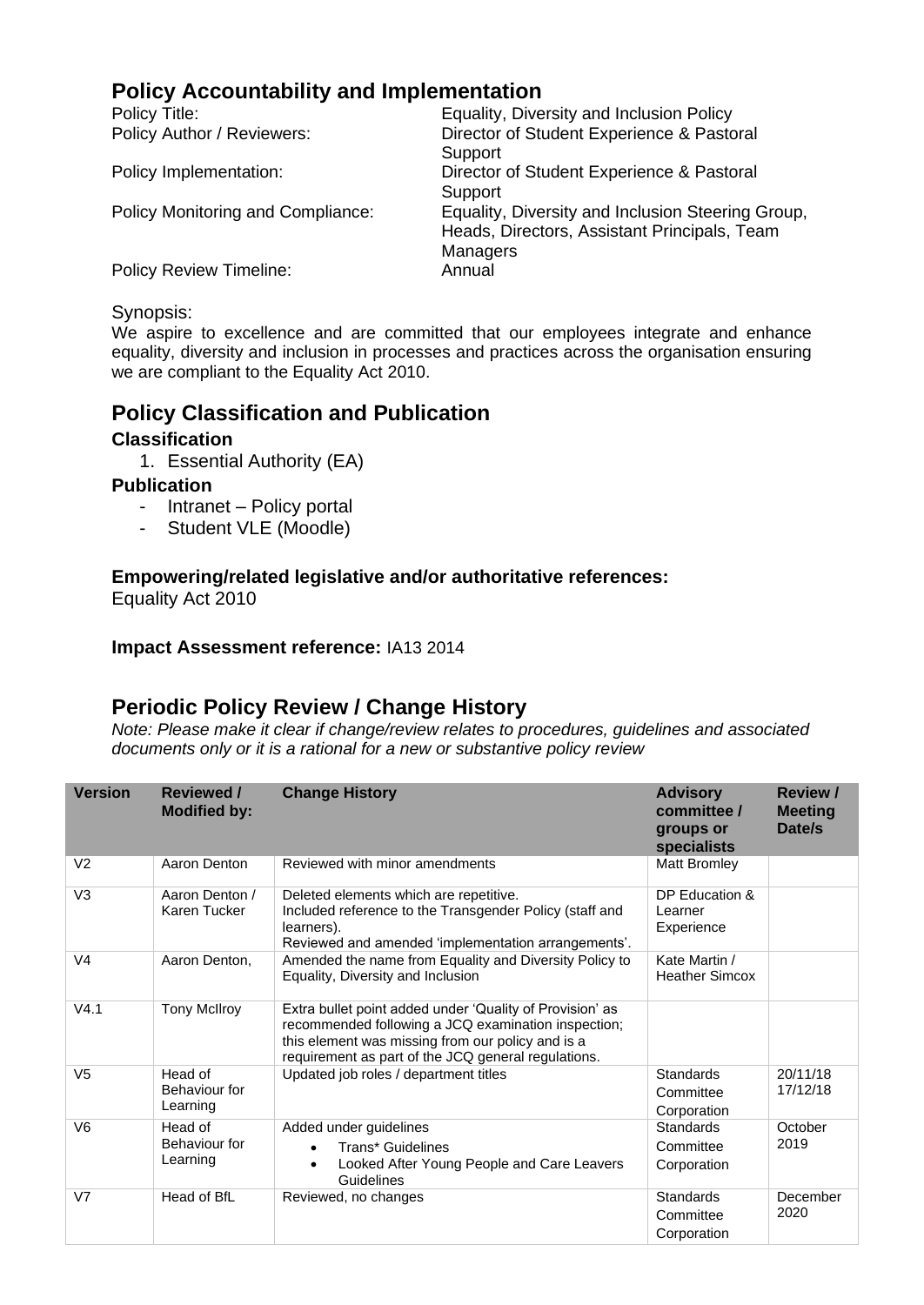## **Policy Accountability and Implementation**

| Equality, Diversity and Inclusion Policy          |
|---------------------------------------------------|
| Director of Student Experience & Pastoral         |
| Support                                           |
| Director of Student Experience & Pastoral         |
| Support                                           |
| Equality, Diversity and Inclusion Steering Group, |
| Heads, Directors, Assistant Principals, Team      |
| Managers                                          |
| Annual                                            |
|                                                   |

#### Synopsis:

We aspire to excellence and are committed that our employees integrate and enhance equality, diversity and inclusion in processes and practices across the organisation ensuring we are compliant to the Equality Act 2010.

## **Policy Classification and Publication**

#### **Classification**

1. Essential Authority (EA)

#### **Publication**

- Intranet Policy portal
- Student VLE (Moodle)

#### **Empowering/related legislative and/or authoritative references:**

Equality Act 2010

#### **Impact Assessment reference:** IA13 2014

## **Periodic Policy Review / Change History**

*Note: Please make it clear if change/review relates to procedures, guidelines and associated documents only or it is a rational for a new or substantive policy review*

| <b>Version</b> | <b>Reviewed /</b><br><b>Modified by:</b> | <b>Change History</b>                                                                                                                                                                                                       | <b>Advisory</b><br>committee /<br>groups or<br>specialists | <b>Review /</b><br><b>Meeting</b><br>Date/s |
|----------------|------------------------------------------|-----------------------------------------------------------------------------------------------------------------------------------------------------------------------------------------------------------------------------|------------------------------------------------------------|---------------------------------------------|
| V <sub>2</sub> | Aaron Denton                             | Reviewed with minor amendments                                                                                                                                                                                              | Matt Bromley                                               |                                             |
| V <sub>3</sub> | Aaron Denton /<br>Karen Tucker           | Deleted elements which are repetitive.<br>Included reference to the Transgender Policy (staff and<br>learners).<br>Reviewed and amended 'implementation arrangements'.                                                      | DP Education &<br>Learner<br>Experience                    |                                             |
| V <sub>4</sub> | Aaron Denton,                            | Amended the name from Equality and Diversity Policy to<br>Equality, Diversity and Inclusion                                                                                                                                 | Kate Martin /<br><b>Heather Simcox</b>                     |                                             |
| V4.1           | <b>Tony McIlroy</b>                      | Extra bullet point added under 'Quality of Provision' as<br>recommended following a JCQ examination inspection;<br>this element was missing from our policy and is a<br>requirement as part of the JCQ general regulations. |                                                            |                                             |
| V <sub>5</sub> | Head of<br>Behaviour for<br>Learning     | Updated job roles / department titles                                                                                                                                                                                       | Standards<br>Committee<br>Corporation                      | 20/11/18<br>17/12/18                        |
| V <sub>6</sub> | Head of<br>Behaviour for<br>Learning     | Added under guidelines<br>Trans* Guidelines<br>$\bullet$<br>Looked After Young People and Care Leavers<br>$\bullet$<br>Guidelines                                                                                           | Standards<br>Committee<br>Corporation                      | October<br>2019                             |
| V <sub>7</sub> | Head of BfL                              | Reviewed, no changes                                                                                                                                                                                                        | Standards<br>Committee<br>Corporation                      | December<br>2020                            |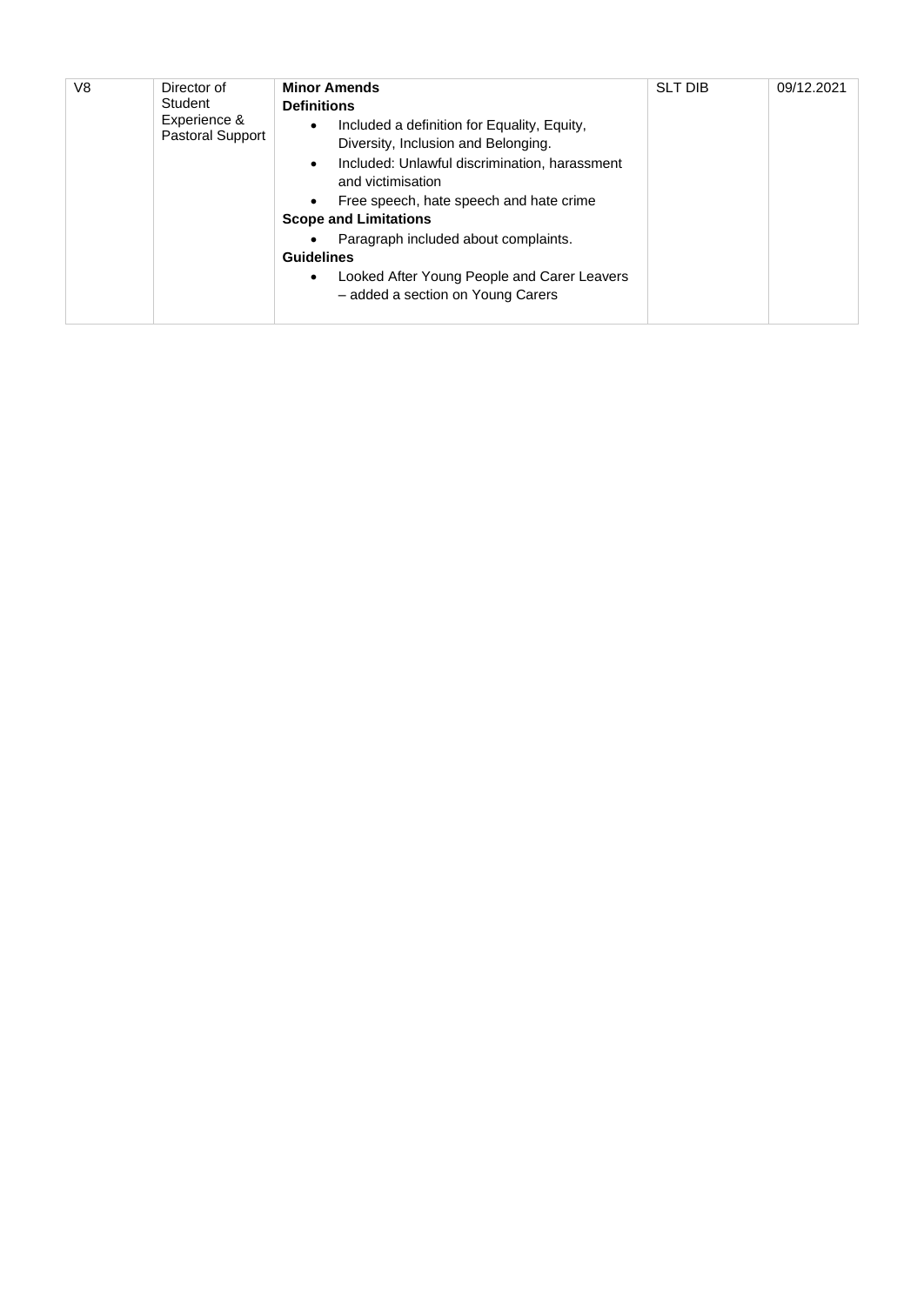| V8 | Director of<br>Student<br>Experience &<br><b>Pastoral Support</b> | <b>Minor Amends</b><br><b>Definitions</b><br>Included a definition for Equality, Equity,<br>$\bullet$<br>Diversity, Inclusion and Belonging.<br>Included: Unlawful discrimination, harassment<br>$\bullet$<br>and victimisation | <b>SLT DIB</b> | 09/12.2021 |
|----|-------------------------------------------------------------------|---------------------------------------------------------------------------------------------------------------------------------------------------------------------------------------------------------------------------------|----------------|------------|
|    |                                                                   | Free speech, hate speech and hate crime<br>$\bullet$                                                                                                                                                                            |                |            |
|    |                                                                   | <b>Scope and Limitations</b>                                                                                                                                                                                                    |                |            |
|    |                                                                   | Paragraph included about complaints.<br>$\bullet$                                                                                                                                                                               |                |            |
|    |                                                                   | <b>Guidelines</b>                                                                                                                                                                                                               |                |            |
|    |                                                                   | Looked After Young People and Carer Leavers<br>$\bullet$<br>- added a section on Young Carers                                                                                                                                   |                |            |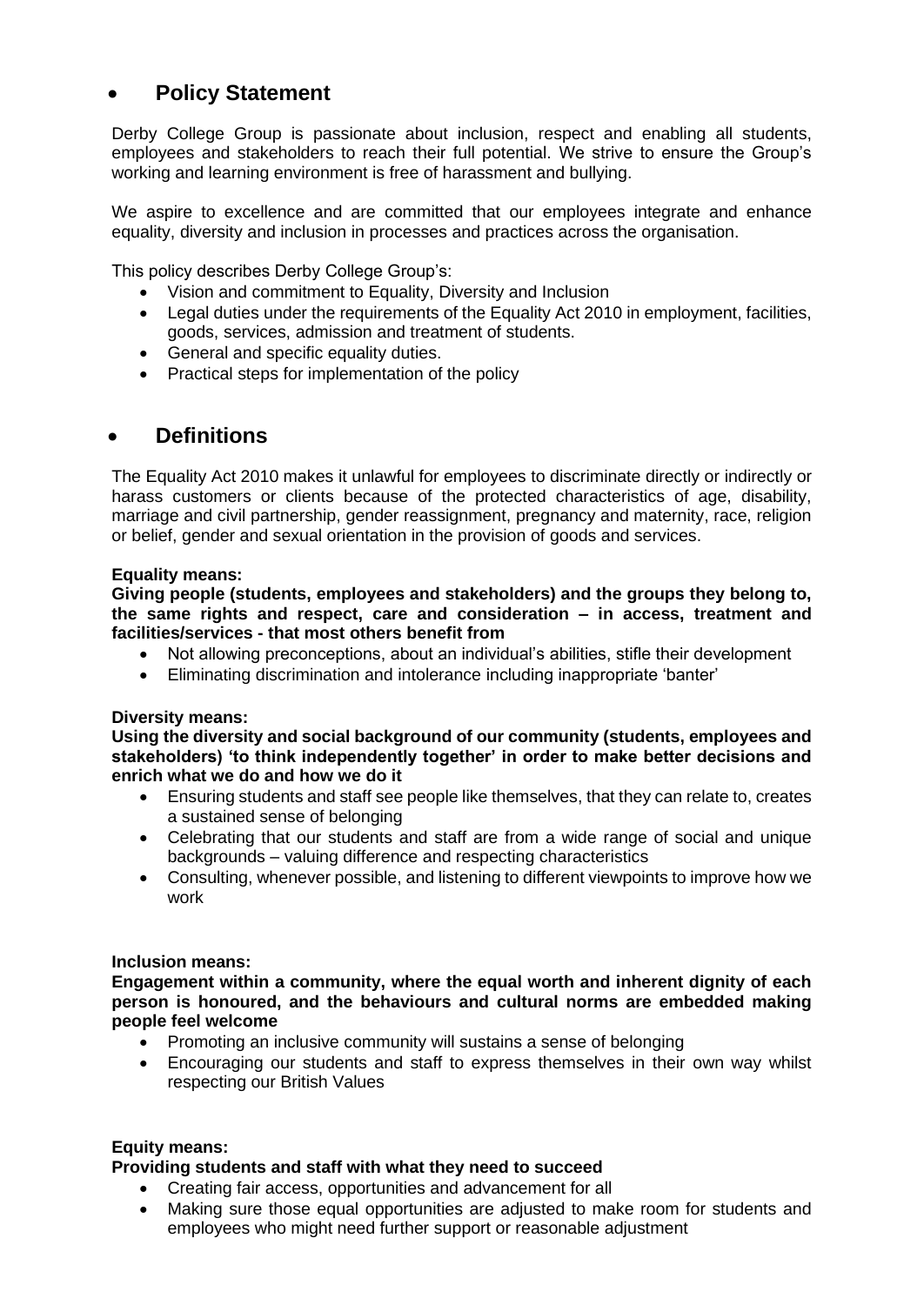## • **Policy Statement**

Derby College Group is passionate about inclusion, respect and enabling all students, employees and stakeholders to reach their full potential. We strive to ensure the Group's working and learning environment is free of harassment and bullying.

We aspire to excellence and are committed that our employees integrate and enhance equality, diversity and inclusion in processes and practices across the organisation.

This policy describes Derby College Group's:

- Vision and commitment to Equality, Diversity and Inclusion
- Legal duties under the requirements of the Equality Act 2010 in employment, facilities, goods, services, admission and treatment of students.
- General and specific equality duties.
- Practical steps for implementation of the policy

## • **Definitions**

The Equality Act 2010 makes it unlawful for employees to discriminate directly or indirectly or harass customers or clients because of the protected characteristics of age, disability, marriage and civil partnership, gender reassignment, pregnancy and maternity, race, religion or belief, gender and sexual orientation in the provision of goods and services.

#### **Equality means:**

**Giving people (students, employees and stakeholders) and the groups they belong to, the same rights and respect, care and consideration – in access, treatment and facilities/services - that most others benefit from**

- Not allowing preconceptions, about an individual's abilities, stifle their development
- Eliminating discrimination and intolerance including inappropriate 'banter'

#### **Diversity means:**

**Using the diversity and social background of our community (students, employees and stakeholders) 'to think independently together' in order to make better decisions and enrich what we do and how we do it**

- Ensuring students and staff see people like themselves, that they can relate to, creates a sustained sense of belonging
- Celebrating that our students and staff are from a wide range of social and unique backgrounds – valuing difference and respecting characteristics
- Consulting, whenever possible, and listening to different viewpoints to improve how we work

#### **Inclusion means:**

**Engagement within a community, where the equal worth and inherent dignity of each person is honoured, and the behaviours and cultural norms are embedded making people feel welcome**

- Promoting an inclusive community will sustains a sense of belonging
- Encouraging our students and staff to express themselves in their own way whilst respecting our British Values

#### **Equity means:**

#### **Providing students and staff with what they need to succeed**

- Creating fair access, opportunities and advancement for all
- Making sure those equal opportunities are adjusted to make room for students and employees who might need further support or reasonable adjustment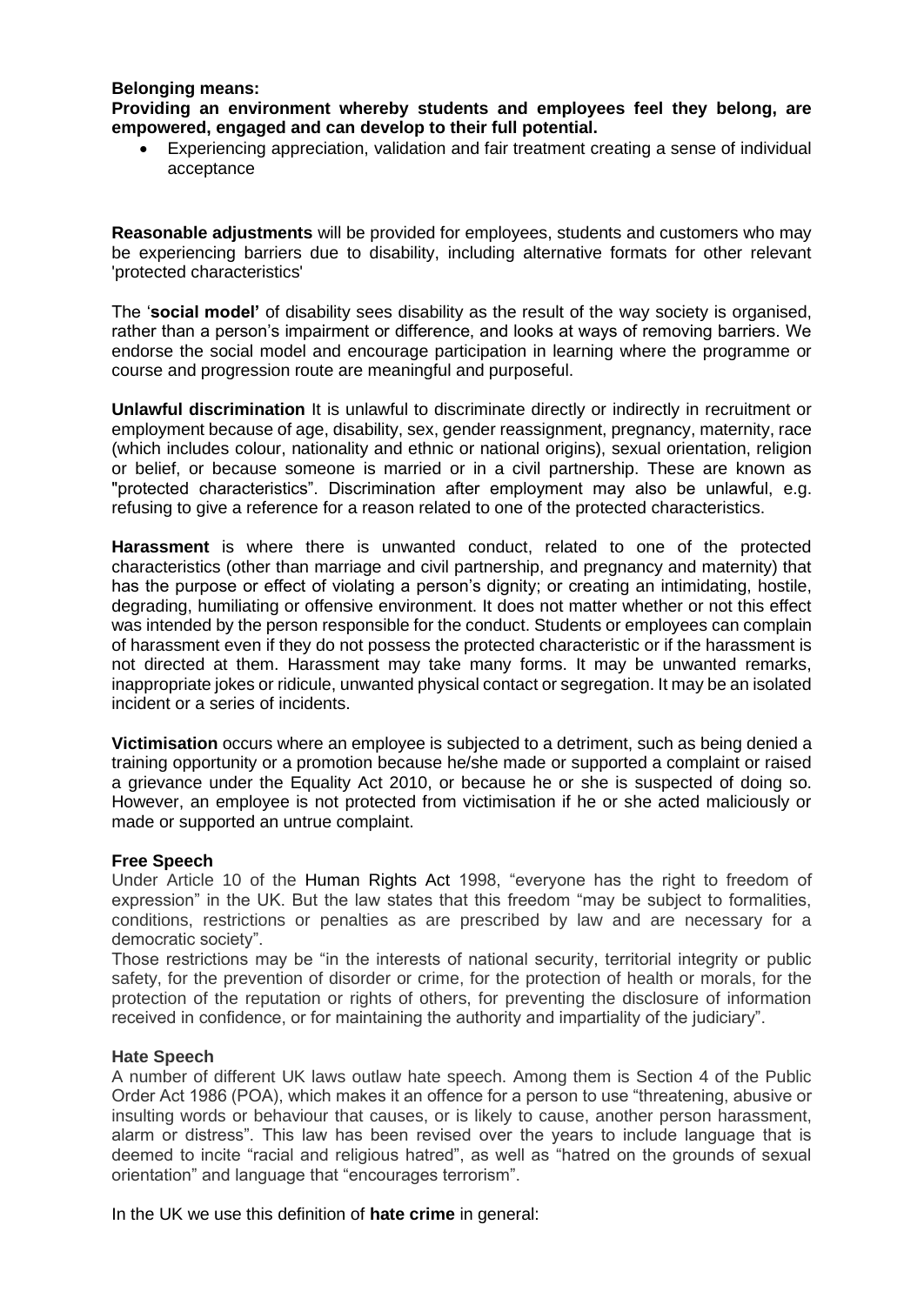#### **Belonging means:**

**Providing an environment whereby students and employees feel they belong, are empowered, engaged and can develop to their full potential.**

• Experiencing appreciation, validation and fair treatment creating a sense of individual acceptance

**Reasonable adjustments** will be provided for employees, students and customers who may be experiencing barriers due to disability, including alternative formats for other relevant 'protected characteristics'

The '**social model'** of disability sees disability as the result of the way society is organised, rather than a person's impairment or difference, and looks at ways of removing barriers. We endorse the social model and encourage participation in learning where the programme or course and progression route are meaningful and purposeful.

**Unlawful discrimination** It is unlawful to discriminate directly or indirectly in recruitment or employment because of age, disability, sex, gender reassignment, pregnancy, maternity, race (which includes colour, nationality and ethnic or national origins), sexual orientation, religion or belief, or because someone is married or in a civil partnership. These are known as "protected characteristics". Discrimination after employment may also be unlawful, e.g. refusing to give a reference for a reason related to one of the protected characteristics.

**Harassment** is where there is unwanted conduct, related to one of the protected characteristics (other than marriage and civil partnership, and pregnancy and maternity) that has the purpose or effect of violating a person's dignity; or creating an intimidating, hostile, degrading, humiliating or offensive environment. It does not matter whether or not this effect was intended by the person responsible for the conduct. Students or employees can complain of harassment even if they do not possess the protected characteristic or if the harassment is not directed at them. Harassment may take many forms. It may be unwanted remarks, inappropriate jokes or ridicule, unwanted physical contact or segregation. It may be an isolated incident or a series of incidents.

**Victimisation** occurs where an employee is subjected to a detriment, such as being denied a training opportunity or a promotion because he/she made or supported a complaint or raised a grievance under the Equality Act 2010, or because he or she is suspected of doing so. However, an employee is not protected from victimisation if he or she acted maliciously or made or supported an untrue complaint.

#### **Free Speech**

Under Article 10 of the [Human Rights Act](https://www.legislation.gov.uk/ukpga/1998/42/schedule/1/part/I/chapter/9) 1998, "everyone has the right to freedom of expression" in the UK. But the law states that this freedom "may be subject to formalities, conditions, restrictions or penalties as are prescribed by law and are necessary for a democratic society".

Those restrictions may be "in the interests of national security, territorial integrity or public safety, for the prevention of disorder or crime, for the protection of health or morals, for the protection of the reputation or rights of others, for preventing the disclosure of information received in confidence, or for maintaining the authority and impartiality of the judiciary".

#### **Hate Speech**

A number of different UK laws outlaw hate speech. Among them is Section 4 of the Public Order Act 1986 (POA), which makes it an offence for a person to use "threatening, abusive or insulting words or behaviour that causes, or is likely to cause, another person harassment, alarm or distress". This law has been revised over the years to include language that is deemed to incite "racial and religious hatred", as well as "hatred on the grounds of sexual orientation" and language that "encourages terrorism".

In the UK we use this definition of **hate crime** in general: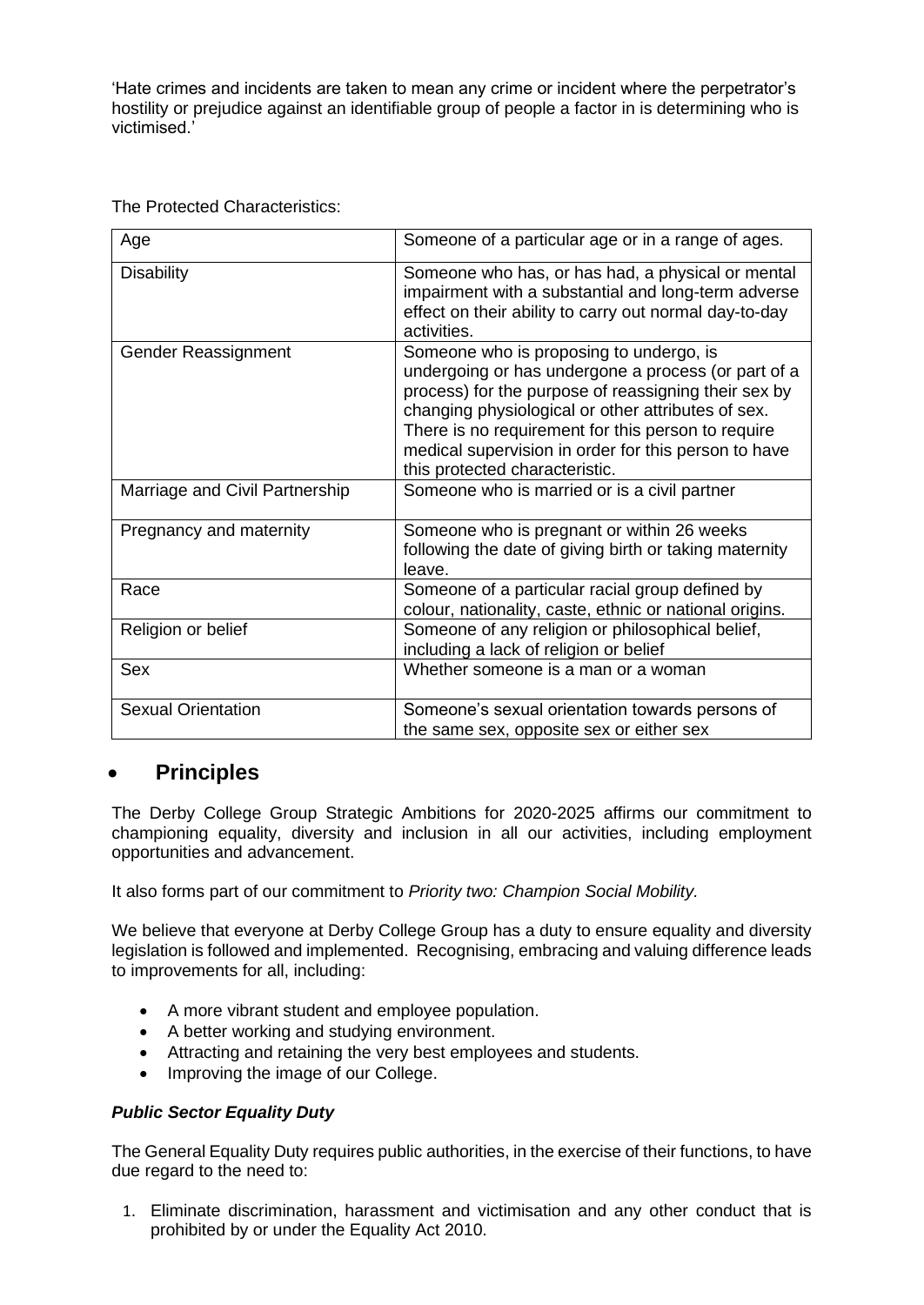'Hate crimes and incidents are taken to mean any crime or incident where the perpetrator's hostility or prejudice against an identifiable group of people a factor in is determining who is victimised.'

The Protected Characteristics:

| Age                            | Someone of a particular age or in a range of ages.                                                                                                                                                                                                                                                                                                           |
|--------------------------------|--------------------------------------------------------------------------------------------------------------------------------------------------------------------------------------------------------------------------------------------------------------------------------------------------------------------------------------------------------------|
| <b>Disability</b>              | Someone who has, or has had, a physical or mental<br>impairment with a substantial and long-term adverse<br>effect on their ability to carry out normal day-to-day<br>activities.                                                                                                                                                                            |
| Gender Reassignment            | Someone who is proposing to undergo, is<br>undergoing or has undergone a process (or part of a<br>process) for the purpose of reassigning their sex by<br>changing physiological or other attributes of sex.<br>There is no requirement for this person to require<br>medical supervision in order for this person to have<br>this protected characteristic. |
| Marriage and Civil Partnership | Someone who is married or is a civil partner                                                                                                                                                                                                                                                                                                                 |
| Pregnancy and maternity        | Someone who is pregnant or within 26 weeks<br>following the date of giving birth or taking maternity<br>leave.                                                                                                                                                                                                                                               |
| Race                           | Someone of a particular racial group defined by<br>colour, nationality, caste, ethnic or national origins.                                                                                                                                                                                                                                                   |
| Religion or belief             | Someone of any religion or philosophical belief,<br>including a lack of religion or belief                                                                                                                                                                                                                                                                   |
| <b>Sex</b>                     | Whether someone is a man or a woman                                                                                                                                                                                                                                                                                                                          |
| <b>Sexual Orientation</b>      | Someone's sexual orientation towards persons of<br>the same sex, opposite sex or either sex                                                                                                                                                                                                                                                                  |

## • **Principles**

The Derby College Group Strategic Ambitions for 2020-2025 affirms our commitment to championing equality, diversity and inclusion in all our activities, including employment opportunities and advancement.

It also forms part of our commitment to *Priority two: Champion Social Mobility.*

We believe that everyone at Derby College Group has a duty to ensure equality and diversity legislation is followed and implemented. Recognising, embracing and valuing difference leads to improvements for all, including:

- A more vibrant student and employee population.
- A better working and studying environment.
- Attracting and retaining the very best employees and students.
- Improving the image of our College.

#### *Public Sector Equality Duty*

The General Equality Duty requires public authorities, in the exercise of their functions, to have due regard to the need to:

1. Eliminate discrimination, harassment and victimisation and any other conduct that is prohibited by or under the Equality Act 2010.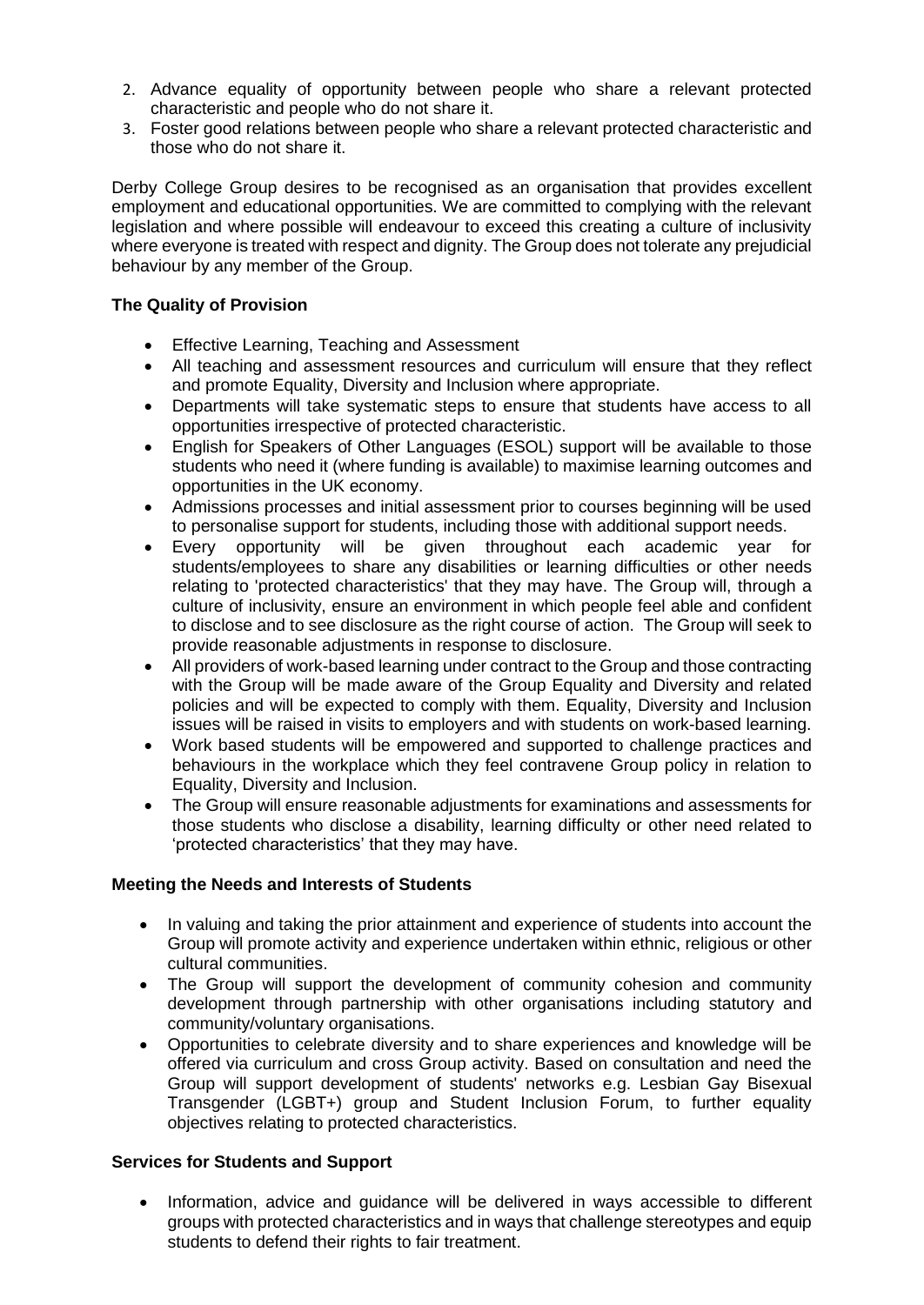- 2. Advance equality of opportunity between people who share a relevant protected characteristic and people who do not share it.
- 3. Foster good relations between people who share a relevant protected characteristic and those who do not share it.

Derby College Group desires to be recognised as an organisation that provides excellent employment and educational opportunities. We are committed to complying with the relevant legislation and where possible will endeavour to exceed this creating a culture of inclusivity where everyone is treated with respect and dignity. The Group does not tolerate any prejudicial behaviour by any member of the Group.

#### **The Quality of Provision**

- Effective Learning, Teaching and Assessment
- All teaching and assessment resources and curriculum will ensure that they reflect and promote Equality, Diversity and Inclusion where appropriate.
- Departments will take systematic steps to ensure that students have access to all opportunities irrespective of protected characteristic.
- English for Speakers of Other Languages (ESOL) support will be available to those students who need it (where funding is available) to maximise learning outcomes and opportunities in the UK economy.
- Admissions processes and initial assessment prior to courses beginning will be used to personalise support for students, including those with additional support needs.
- Every opportunity will be given throughout each academic year for students/employees to share any disabilities or learning difficulties or other needs relating to 'protected characteristics' that they may have. The Group will, through a culture of inclusivity, ensure an environment in which people feel able and confident to disclose and to see disclosure as the right course of action. The Group will seek to provide reasonable adjustments in response to disclosure.
- All providers of work-based learning under contract to the Group and those contracting with the Group will be made aware of the Group Equality and Diversity and related policies and will be expected to comply with them. Equality, Diversity and Inclusion issues will be raised in visits to employers and with students on work-based learning.
- Work based students will be empowered and supported to challenge practices and behaviours in the workplace which they feel contravene Group policy in relation to Equality, Diversity and Inclusion.
- The Group will ensure reasonable adjustments for examinations and assessments for those students who disclose a disability, learning difficulty or other need related to 'protected characteristics' that they may have.

#### **Meeting the Needs and Interests of Students**

- In valuing and taking the prior attainment and experience of students into account the Group will promote activity and experience undertaken within ethnic, religious or other cultural communities.
- The Group will support the development of community cohesion and community development through partnership with other organisations including statutory and community/voluntary organisations.
- Opportunities to celebrate diversity and to share experiences and knowledge will be offered via curriculum and cross Group activity. Based on consultation and need the Group will support development of students' networks e.g. Lesbian Gay Bisexual Transgender (LGBT+) group and Student Inclusion Forum, to further equality objectives relating to protected characteristics.

#### **Services for Students and Support**

• Information, advice and guidance will be delivered in ways accessible to different groups with protected characteristics and in ways that challenge stereotypes and equip students to defend their rights to fair treatment.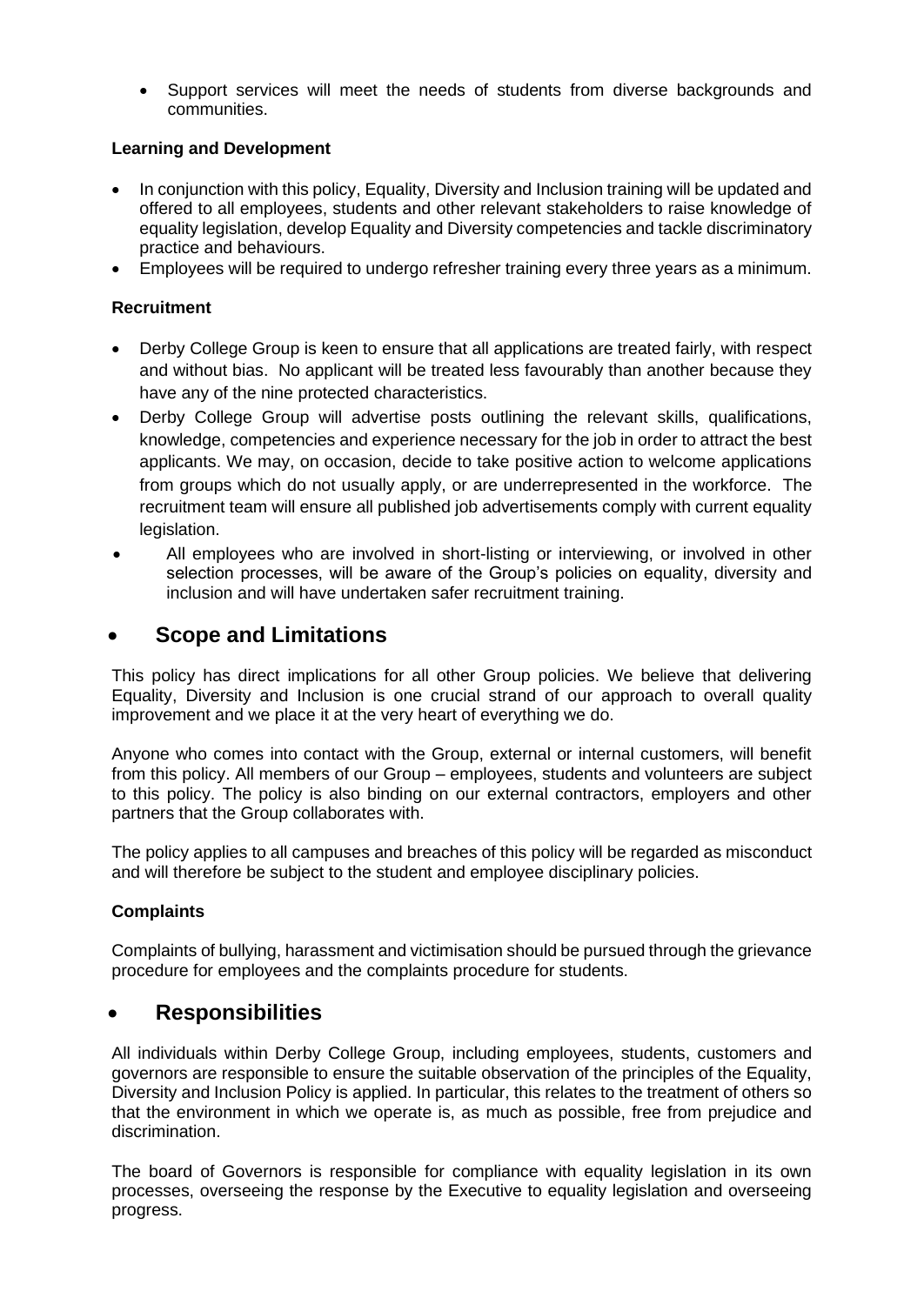• Support services will meet the needs of students from diverse backgrounds and communities.

#### **Learning and Development**

- In conjunction with this policy, Equality, Diversity and Inclusion training will be updated and offered to all employees, students and other relevant stakeholders to raise knowledge of equality legislation, develop Equality and Diversity competencies and tackle discriminatory practice and behaviours.
- Employees will be required to undergo refresher training every three years as a minimum.

#### **Recruitment**

- Derby College Group is keen to ensure that all applications are treated fairly, with respect and without bias. No applicant will be treated less favourably than another because they have any of the nine protected characteristics.
- Derby College Group will advertise posts outlining the relevant skills, qualifications, knowledge, competencies and experience necessary for the job in order to attract the best applicants. We may, on occasion, decide to take positive action to welcome applications from groups which do not usually apply, or are underrepresented in the workforce. The recruitment team will ensure all published job advertisements comply with current equality legislation.
- All employees who are involved in short-listing or interviewing, or involved in other selection processes, will be aware of the Group's policies on equality, diversity and inclusion and will have undertaken safer recruitment training.

## • **Scope and Limitations**

This policy has direct implications for all other Group policies. We believe that delivering Equality, Diversity and Inclusion is one crucial strand of our approach to overall quality improvement and we place it at the very heart of everything we do.

Anyone who comes into contact with the Group, external or internal customers, will benefit from this policy. All members of our Group – employees, students and volunteers are subject to this policy. The policy is also binding on our external contractors, employers and other partners that the Group collaborates with.

The policy applies to all campuses and breaches of this policy will be regarded as misconduct and will therefore be subject to the student and employee disciplinary policies.

#### **Complaints**

Complaints of bullying, harassment and victimisation should be pursued through the grievance procedure for employees and the complaints procedure for students.

### • **Responsibilities**

All individuals within Derby College Group, including employees, students, customers and governors are responsible to ensure the suitable observation of the principles of the Equality, Diversity and Inclusion Policy is applied. In particular, this relates to the treatment of others so that the environment in which we operate is, as much as possible, free from prejudice and discrimination.

The board of Governors is responsible for compliance with equality legislation in its own processes, overseeing the response by the Executive to equality legislation and overseeing progress.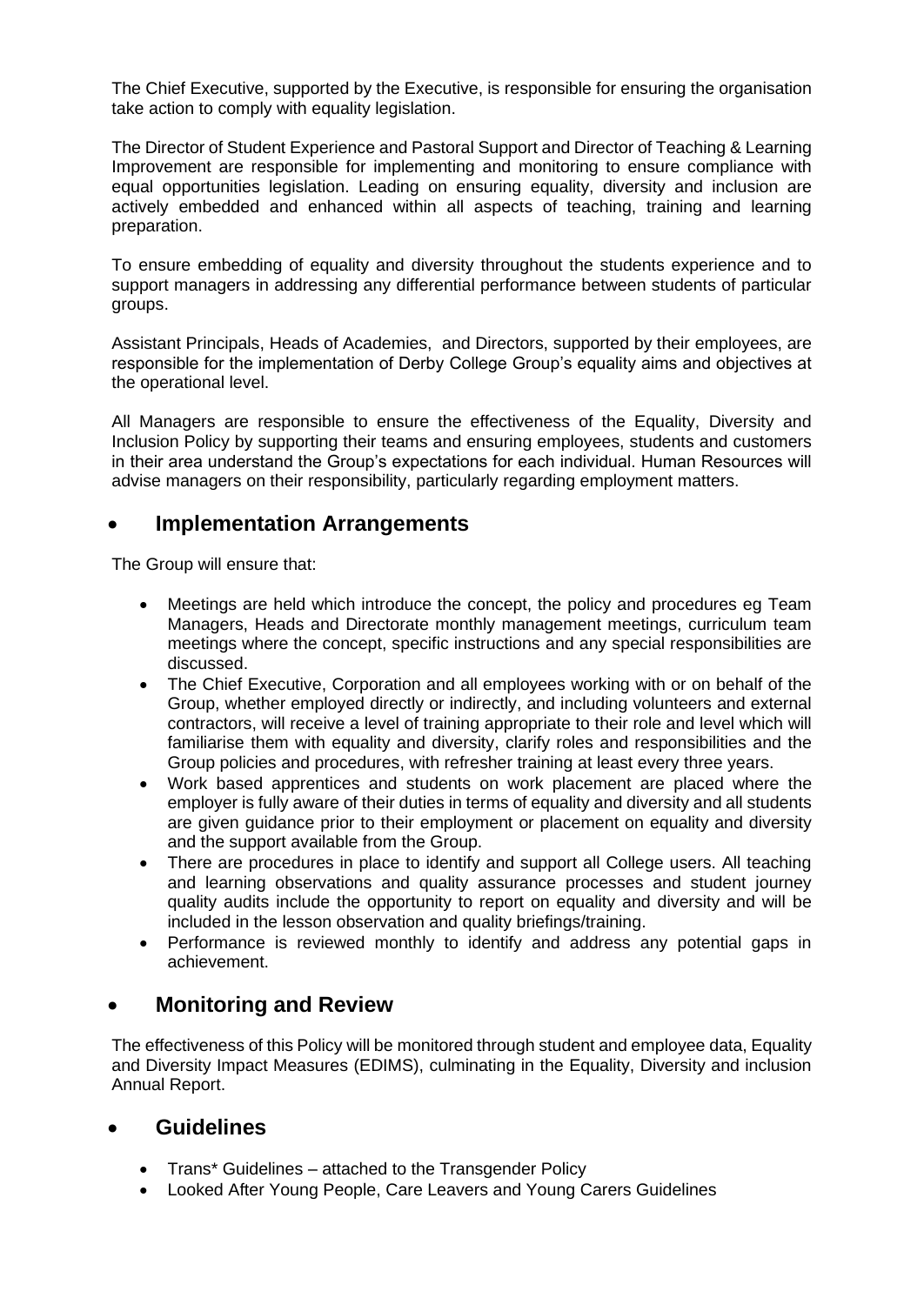The Chief Executive, supported by the Executive, is responsible for ensuring the organisation take action to comply with equality legislation.

The Director of Student Experience and Pastoral Support and Director of Teaching & Learning Improvement are responsible for implementing and monitoring to ensure compliance with equal opportunities legislation. Leading on ensuring equality, diversity and inclusion are actively embedded and enhanced within all aspects of teaching, training and learning preparation.

To ensure embedding of equality and diversity throughout the students experience and to support managers in addressing any differential performance between students of particular groups.

Assistant Principals, Heads of Academies, and Directors, supported by their employees, are responsible for the implementation of Derby College Group's equality aims and objectives at the operational level.

All Managers are responsible to ensure the effectiveness of the Equality, Diversity and Inclusion Policy by supporting their teams and ensuring employees, students and customers in their area understand the Group's expectations for each individual. Human Resources will advise managers on their responsibility, particularly regarding employment matters.

## • **Implementation Arrangements**

The Group will ensure that:

- Meetings are held which introduce the concept, the policy and procedures eg Team Managers, Heads and Directorate monthly management meetings, curriculum team meetings where the concept, specific instructions and any special responsibilities are discussed.
- The Chief Executive, Corporation and all employees working with or on behalf of the Group, whether employed directly or indirectly, and including volunteers and external contractors, will receive a level of training appropriate to their role and level which will familiarise them with equality and diversity, clarify roles and responsibilities and the Group policies and procedures, with refresher training at least every three years.
- Work based apprentices and students on work placement are placed where the employer is fully aware of their duties in terms of equality and diversity and all students are given guidance prior to their employment or placement on equality and diversity and the support available from the Group.
- There are procedures in place to identify and support all College users. All teaching and learning observations and quality assurance processes and student journey quality audits include the opportunity to report on equality and diversity and will be included in the lesson observation and quality briefings/training.
- Performance is reviewed monthly to identify and address any potential gaps in achievement.

## • **Monitoring and Review**

The effectiveness of this Policy will be monitored through student and employee data, Equality and Diversity Impact Measures (EDIMS), culminating in the Equality, Diversity and inclusion Annual Report.

## • **Guidelines**

- Trans\* Guidelines attached to the Transgender Policy
- Looked After Young People, Care Leavers and Young Carers Guidelines